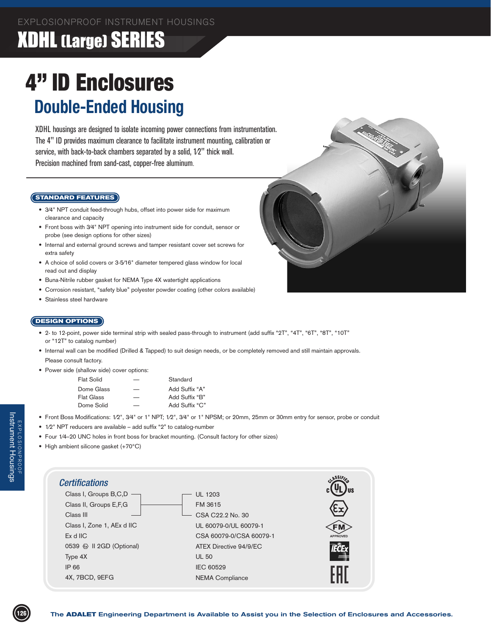### XDHL (Large) SERIES

## 4" ID Enclosures **Double-Ended Housing**

XDHL housings are designed to isolate incoming power connections from instrumentation. The 4" ID provides maximum clearance to facilitate instrument mounting, calibration or service, with back-to-back chambers separated by a solid,  $1/2$ " thick wall. Precision machined from sand-cast, copper-free aluminum.

#### **STANDARD FEATURES**

- 3/4" NPT conduit feed-through hubs, offset into power side for maximum clearance and capacity
- Front boss with 3/4" NPT opening into instrument side for conduit, sensor or probe (see design options for other sizes)
- • Internal and external ground screws and tamper resistant cover set screws for extra safety
- A choice of solid covers or 3-5/16" diameter tempered glass window for local read out and display
- Buna-Nitrile rubber gasket for NEMA Type 4X watertight applications
- Corrosion resistant, "safety blue" polyester powder coating (other colors available)
- Stainless steel hardware



#### **DESIGN OPTIONS**

- 2- to 12-point, power side terminal strip with sealed pass-through to instrument (add suffix "2T", "4T", "6T", "8T", "10T" or "12T" to catalog number)
- Internal wall can be modified (Drilled & Tapped) to suit design needs, or be completely removed and still maintain approvals. Please consult factory.
- Power side (shallow side) cover options:

|   | Standard       |
|---|----------------|
|   | Add Suffix "A" |
| – | Add Suffix "B" |
| – | Add Suffix "C" |
|   |                |

- Front Boss Modifications: 1/2", 3/4" or 1" NPT; 1/2", 3/4" or 1" NPSM; or 20mm, 25mm or 30mm entry for sensor, probe or conduit
- 1/2" NPT reducers are available add suffix "2" to catalog-number
- Four 1/4-20 UNC holes in front boss for bracket mounting. (Consult factory for other sizes)
- • High ambient silicone gasket (+70°C)